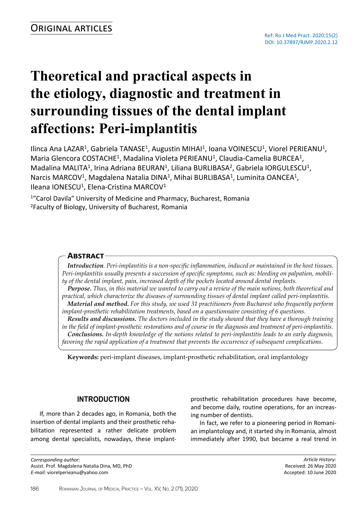# **Theoretical and practical aspects in the etiology, diagnostic and treatment in surrounding tissues of the dental implant affections: Peri-implantitis**

llinca Ana LAZAR<sup>1</sup>, Gabriela TANASE<sup>1</sup>, Augustin MIHAI<sup>1</sup>, Ioana VOINESCU<sup>1</sup>, Viorel PERIEANU<sup>1</sup>, Maria Glencora COSTACHE<sup>1</sup>, Madalina Violeta PERIEANU<sup>1</sup>, Claudia-Camelia BURCEA<sup>1</sup>, Madalina MALITA<sup>1</sup>, Irina Adriana BEURAN<sup>1</sup>, Liliana BURLIBASA<sup>2</sup>, Gabriela IORGULESCU<sup>1</sup>, Narcis MARCOV<sup>1</sup>, Magdalena Natalia DINA<sup>1</sup>, Mihai BURLIBASA<sup>1</sup>, Luminita OANCEA<sup>1</sup>, Ileana IONESCU<sup>1</sup>, Elena-Cristina MARCOV<sup>1</sup>

<sup>1</sup>"Carol Davila" University of Medicine and Pharmacy, Bucharest, Romania <sup>2</sup>Faculty of Biology, University of Bucharest, Romania

## **Abstract**

*Introduction. Peri-implantitis is a non-specific inflammation, induced or maintained in the host tissues. Peri-implantitis usually presents a succession of specific symptoms, such as: bleeding on palpation, mobility of the dental implant, pain, increased depth of the pockets located around dental implants. Purpose. Thus, in this material we wanted to carry out a review of the main notions, both theoretical and practical, which characterize the diseases of surrounding tissues of dental implant called peri-implantitis. Material and method. For this study, we used 31 practitioners from Bucharest who frequently perform implant-prosthetic rehabilitation treatments, based on a questionnaire consisting of 6 questions. Results and discussions. The doctors included in the study showed that they have a thorough training in the field of implant-prosthetic restorations and of course in the diagnosis and treatment of peri-implantitis. Conclusions. In-depth knowledge of the notions related to peri-implantitis leads to an early diagnosis, favoring the rapid application of a treatment that prevents the occurrence of subsequent complications.*

**Keywords:** peri-implant diseases, implant-prosthetic rehabilitation, oral implantology

### **INTRODUCTION**

If, more than 2 decades ago, in Romania, both the insertion of dental implants and their prosthetic rehabilitation represented a rather delicate problem among dental specialists, nowadays, these implant-

*Corresponding author:*  Assist. Prof. Magdalena Natalia Dina, MD, PhD *E-mail:* viorelperieanu@yahoo.com

prosthetic rehabilitation procedures have become, and become daily, routine operations, for an increasing number of dentists.

In fact, we refer to a pioneering period in Romanian implantology and, it started shy in Romania, almost immediately after 1990, but became a real trend in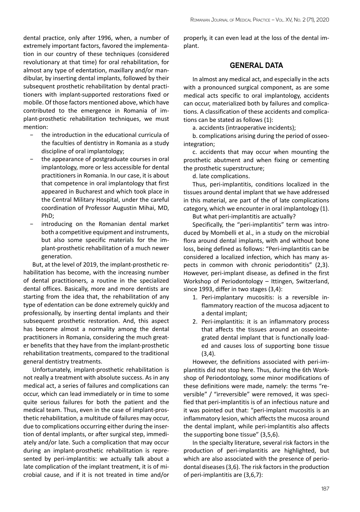dental practice, only after 1996, when, a number of extremely important factors, favored the implementation in our country of these techniques (considered revolutionary at that time) for oral rehabilitation, for almost any type of edentation, maxillary and/or mandibular, by inserting dental implants, followed by their subsequent prosthetic rehabilitation by dental practitioners with implant-supported restorations fixed or mobile. Of those factors mentioned above, which have contributed to the emergence in Romania of implant-prosthetic rehabilitation techniques, we must mention:

- the introduction in the educational curricula of the faculties of dentistry in Romania as a study discipline of oral implantology;
- − the appearance of postgraduate courses in oral implantology, more or less accessible for dental practitioners in Romania. In our case, it is about that competence in oral implantology that first appeared in Bucharest and which took place in the Central Military Hospital, under the careful coordination of Professor Augustin Mihai, MD, PhD;
- introducing on the Romanian dental market both a competitive equipment and instruments, but also some specific materials for the implant-prosthetic rehabilitation of a much newer generation.

But, at the level of 2019, the implant-prosthetic rehabilitation has become, with the increasing number of dental practitioners, a routine in the specialized dental offices. Basically, more and more dentists are starting from the idea that, the rehabilitation of any type of edentation can be done extremely quickly and professionally, by inserting dental implants and their subsequent prosthetic restoration. And, this aspect has become almost a normality among the dental practitioners in Romania, considering the much greater benefits that they have from the implant-prosthetic rehabilitation treatments, compared to the traditional general dentistry treatments.

Unfortunately, implant-prosthetic rehabilitation is not really a treatment with absolute success. As in any medical act, a series of failures and complications can occur, which can lead immediately or in time to some quite serious failures for both the patient and the medical team. Thus, even in the case of implant-prosthetic rehabilitation, a multitude of failures may occur, due to complications occurring either during the insertion of dental implants, or after surgical step, immediately and/or late. Such a complication that may occur during an implant-prosthetic rehabilitation is represented by peri-implantitis: we actually talk about a late complication of the implant treatment, it is of microbial cause, and if it is not treated in time and/or properly, it can even lead at the loss of the dental implant.

# **GENERAL DATA**

In almost any medical act, and especially in the acts with a pronounced surgical component, as are some medical acts specific to oral implantology, accidents can occur, materialized both by failures and complications. A classification of these accidents and complications can be stated as follows (1):

a. accidents (intraoperative incidents);

b. complications arising during the period of osseointegration;

c. accidents that may occur when mounting the prosthetic abutment and when fixing or cementing the prosthetic superstructure;

d. late complications.

Thus, peri-implantitis, conditions localized in the tissues around dental implant that we have addressed in this material, are part of the of late complications category, which we encounter in oral implantology (1).

But what peri-implantitis are actually?

Specifically, the "peri-implantitis" term was introduced by Mombelli et al., in a study on the microbial flora around dental implants, with and without bone loss, being defined as follows: "Peri-implantitis can be considered a localized infection, which has many aspects in common with chronic periodontitis" (2,3). However, peri-implant disease, as defined in the first Workshop of Periodontology – Ittingen, Switzerland, since 1993, differ in two stages (3,4):

- 1. Peri-implantary mucositis: is a reversible inflammatory reaction of the mucosa adjacent to a dental implant;
- 2. Peri-implantitis: it is an inflammatory process that affects the tissues around an osseointegrated dental implant that is functionally loaded and causes loss of supporting bone tissue  $(3,4)$ .

However, the definitions associated with peri-implantitis did not stop here. Thus, during the 6th Workshop of Periodontology, some minor modifications of these definitions were made, namely: the terms "reversible" / "irreversible" were removed, it was specified that peri-implantitis is of an infectious nature and it was pointed out that: "peri-implant mucositis is an inflammatory lesion, which affects the mucosa around the dental implant, while peri-implantitis also affects the supporting bone tissue" (3,5,6).

In the specialty literature, several risk factors in the production of peri-implantitis are highlighted, but which are also associated with the presence of periodontal diseases (3,6). The risk factors in the production of peri-implantitis are (3,6,7):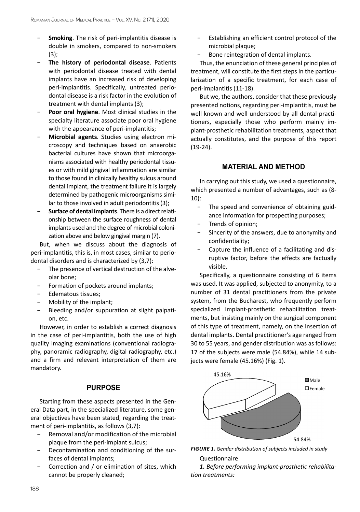- Smoking. The risk of peri-implantitis disease is double in smokers, compared to non-smokers (3);
- **The history of periodontal disease.** Patients with periodontal disease treated with dental implants have an increased risk of developing peri-implantitis. Specifically, untreated periodontal disease is a risk factor in the evolution of treatment with dental implants (3);
- Poor oral hygiene. Most clinical studies in the specialty literature associate poor oral hygiene with the appearance of peri-implantitis;
- − **Microbial agents**. Studies using electron microscopy and techniques based on anaerobic bacterial cultures have shown that microorganisms associated with healthy periodontal tissues or with mild gingival inflammation are similar to those found in clinically healthy sulcus around dental implant, the treatment failure it is largely determined by pathogenic microorganisms similar to those involved in adult periodontitis (3);
- − **Surface of dental implants**. There is a direct relationship between the surface roughness of dental implants used and the degree of microbial colonization above and below gingival margin (7).

But, when we discuss about the diagnosis of peri-implantitis, this is, in most cases, similar to periodontal disorders and is characterized by (3,7):

- − The presence of vertical destruction of the alveolar bone;
- Formation of pockets around implants;
- − Edematous tissues;
- − Mobility of the implant;
- − Bleeding and/or suppuration at slight palpation, etc.

However, in order to establish a correct diagnosis in the case of peri-implantitis, both the use of high quality imaging examinations (conventional radiography, panoramic radiography, digital radiography, etc.) and a firm and relevant interpretation of them are mandatory.

# **PURPOSE**

Starting from these aspects presented in the General Data part, in the specialized literature, some general objectives have been stated, regarding the treatment of peri-implantitis, as follows (3,7):

- − Removal and/or modification of the microbial plaque from the peri-implant sulcus;
- − Decontamination and conditioning of the surfaces of dental implants;
- − Correction and / or elimination of sites, which cannot be properly cleaned;
- Establishing an efficient control protocol of the microbial plaque;
- Bone reintegration of dental implants.

Thus, the enunciation of these general principles of treatment, will constitute the first steps in the particularization of a specific treatment, for each case of peri-implantitis (11-18).

But we, the authors, consider that these previously presented notions, regarding peri-implantitis, must be well known and well understood by all dental practitioners, especially those who perform mainly implant-prosthetic rehabilitation treatments, aspect that actually constitutes, and the purpose of this report (19-24).

# **MATERIAL AND METHOD**

In carrying out this study, we used a questionnaire, which presented a number of advantages, such as (8- 10):

- − The speed and convenience of obtaining guidance information for prospecting purposes;
- Trends of opinion;
- Sincerity of the answers, due to anonymity and confidentiality;
- − Capture the influence of a facilitating and disruptive factor, before the effects are factually visible.

Specifically, a questionnaire consisting of 6 items was used. It was applied, subjected to anonymity, to a number of 31 dental practitioners from the private system, from the Bucharest, who frequently perform specialized implant-prosthetic rehabilitation treatments, but insisting mainly on the surgical component of this type of treatment, namely, on the insertion of dental implants. Dental practitioner's age ranged from 30 to 55 years, and gender distribution was as follows: 17 of the subjects were male (54.84%), while 14 subjects were female (45.16%) (Fig. 1).





Questionnaire

*1. Before performing implant-prosthetic rehabilitation treatments:*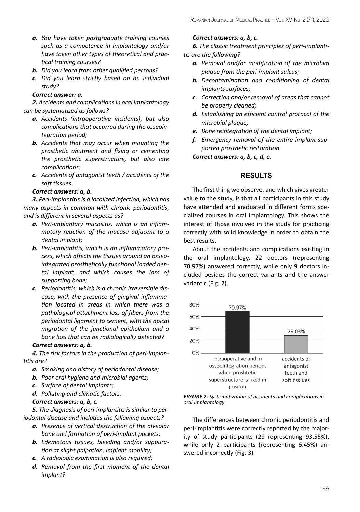- *a. You have taken postgraduate training courses such as a competence in implantology and/or have taken other types of theoretical and practical training courses?*
- *b. Did you learn from other qualified persons?*
- *c. Did you learn strictly based on an individual study?*

# *Correct answer: a.*

*2. Accidents and complications in oral implantology can be systematized as follows?*

- *a. Accidents (intraoperative incidents), but also complications that occurred during the osseointegration period;*
- *b. Accidents that may occur when mounting the prosthetic abutment and fixing or cementing the prosthetic superstructure, but also late complications;*
- *c. Accidents of antagonist teeth / accidents of the soft tissues.*

# *Correct answers: a, b.*

*3. Peri-implantitis is a localized infection, which has many aspects in common with chronic periodontitis, and is different in several aspects as?*

- *a. Peri-implantary mucositis, which is an inflammatory reaction of the mucosa adjacent to a dental implant;*
- *b. Peri-implantitis, which is an inflammatory process, which affects the tissues around an osseointegrated prosthetically functional loaded dental implant, and which causes the loss of supporting bone;*
- *c. Periodontitis, which is a chronic irreversible disease, with the presence of gingival inflammation located in areas in which there was a pathological attachment loss of fibers from the periodontal ligament to cement, with the apical migration of the junctional epithelium and a bone loss that can be radiologically detected?*

### *Correct answers: a, b.*

*4. The risk factors in the production of peri-implantitis are?* 

- *a. Smoking and history of periodontal disease;*
- *b. Poor oral hygiene and microbial agents;*
- *c. Surface of dental implants;*

*d. Polluting and climatic factors.*

# *Correct answers: a, b, c.*

*5. The diagnosis of peri-implantitis is similar to periodontal disease and includes the following aspects?* 

- *a. Presence of vertical destruction of the alveolar bone and formation of peri-implant pockets;*
- *b. Edematous tissues, bleeding and/or suppuration at slight palpation, implant mobility;*
- *c. A radiologic examination is also required;*
- *d. Removal from the first moment of the dental implant?*

#### *Correct answers: a, b, c.*

*6. The classic treatment principles of peri-implantitis are the following?*

- *a. Removal and/or modification of the microbial plaque from the peri-implant sulcus;*
- *b. Decontamination and conditioning of dental implants surfaces;*
- *c. Correction and/or removal of areas that cannot be properly cleaned;*
- *d. Establishing an efficient control protocol of the microbial plaque;*
- *e. Bone reintegration of the dental implant;*
- *f. Emergency removal of the entire implant-supported prosthetic restoration.*

*Correct answers: a, b, c, d, e.*

# **RESULTS**

The first thing we observe, and which gives greater value to the study, is that all participants in this study have attended and graduated in different forms specialized courses in oral implantology. This shows the interest of those involved in the study for practicing correctly with solid knowledge in order to obtain the best results.

About the accidents and complications existing in the oral implantology, 22 doctors (representing 70.97%) answered correctly, while only 9 doctors included besides the correct variants and the answer variant c (Fig. 2).



*FIGURE 2. Systematization of accidents and complications in oral implantology*

The differences between chronic periodontitis and peri-implantitis were correctly reported by the majority of study participants (29 representing 93.55%), while only 2 participants (representing 6.45%) answered incorrectly (Fig. 3).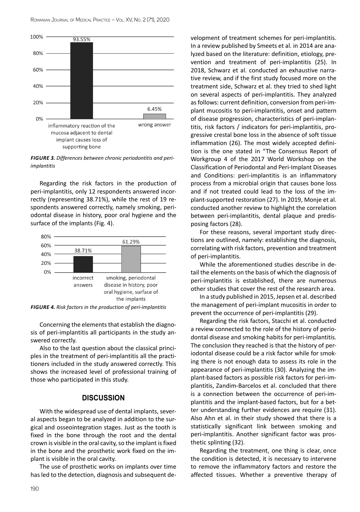

*FIGURE 3. Differences between chronic periodontitis and periimplantitis*

Regarding the risk factors in the production of peri-implantitis, only 12 respondents answered incorrectly (representing 38.71%), while the rest of 19 respondents answered correctly, namely smoking, periodontal disease in history, poor oral hygiene and the surface of the implants (Fig. 4).



*FIGURE 4. Risk factors in the production of peri-implantitis*

Concerning the elements that establish the diagnosis of peri-implantitis all participants in the study answered correctly.

Also to the last question about the classical principles in the treatment of peri-implantitis all the practitioners included in the study answered correctly. This shows the increased level of professional training of those who participated in this study.

#### **DISCUSSION**

With the widespread use of dental implants, several aspects began to be analyzed in addition to the surgical and osseointegration stages. Just as the tooth is fixed in the bone through the root and the dental crown is visible in the oral cavity, so the implant is fixed in the bone and the prosthetic work fixed on the implant is visible in the oral cavity.

The use of prosthetic works on implants over time has led to the detection, diagnosis and subsequent development of treatment schemes for peri-implantitis. In a review published by Smeets et al. in 2014 are analyzed based on the literature: definition, etiology, prevention and treatment of peri-implantitis (25). In 2018, Schwarz et al. conducted an exhaustive narrative review, and if the first study focused more on the treatment side, Schwarz et al. they tried to shed light on several aspects of peri-implantitis. They analyzed as follows: current definition, conversion from peri-implant mucositis to peri-implantitis, onset and pattern of disease progression, characteristics of peri-implantitis, risk factors / indicators for peri-implantitis, progressive crestal bone loss in the absence of soft tissue inflammation (26). The most widely accepted definition is the one stated in "The Consensus Report of Workgroup 4 of the 2017 World Workshop on the Classification of Periodontal and Peri-Implant Diseases and Conditions: peri-implantitis is an inflammatory process from a microbial origin that causes bone loss and if not treated could lead to the loss of the implant-supported restoration (27). In 2019, Monje et al. conducted another review to highlight the correlation between peri-implantitis, dental plaque and predisposing factors (28).

For these reasons, several important study directions are outlined, namely: establishing the diagnosis, correlating with risk factors, prevention and treatment of peri-implantitis.

While the aforementioned studies describe in detail the elements on the basis of which the diagnosis of peri-implantitis is established, there are numerous other studies that cover the rest of the research area.

In a study published in 2015, Jepsen et al. described the management of peri-implant mucositis in order to prevent the occurrence of peri-implantitis (29).

Regarding the risk factors, Stacchi et al. conducted a review connected to the role of the history of periodontal disease and smoking habits for peri-implantitis. The conclusion they reached is that the history of periodontal disease could be a risk factor while for smoking there is not enough data to assess its role in the appearance of peri-implantitis (30). Analyzing the implant-based factors as possible risk factors for peri-implantitis, Zandim-Barcelos et al. concluded that there is a connection between the occurrence of peri-implantitis and the implant-based factors, but for a better understanding further evidences are require (31). Also Ahn et al. in their study showed that there is a statistically significant link between smoking and peri-implantitis. Another significant factor was prosthetic splinting (32).

Regarding the treatment, one thing is clear, once the condition is detected, it is necessary to intervene to remove the inflammatory factors and restore the affected tissues. Whether a preventive therapy of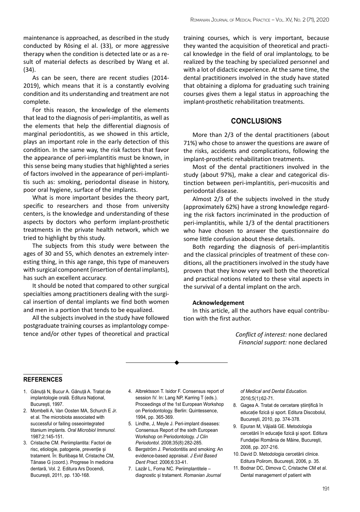maintenance is approached, as described in the study conducted by Rösing el al. (33), or more aggressive therapy when the condition is detected late or as a result of material defects as described by Wang et al. (34).

As can be seen, there are recent studies (2014- 2019), which means that it is a constantly evolving condition and its understanding and treatment are not complete.

For this reason, the knowledge of the elements that lead to the diagnosis of peri-implantitis, as well as the elements that help the differential diagnosis of marginal periodontitis, as we showed in this article, plays an important role in the early detection of this condition. In the same way, the risk factors that favor the appearance of peri-implantitis must be known, in this sense being many studies that highlighted a series of factors involved in the appearance of peri-implantitis such as: smoking, periodontal disease in history, poor oral hygiene, surface of the implants.

What is more important besides the theory part, specific to researchers and those from university centers, is the knowledge and understanding of these aspects by doctors who perform implant-prosthetic treatments in the private health network, which we tried to highlight by this study.

The subjects from this study were between the ages of 30 and 55, which denotes an extremely interesting thing, in this age range, this type of maneuvers with surgical component (insertion of dental implants), has such an excellent accuracy.

It should be noted that compared to other surgical specialties among practitioners dealing with the surgical insertion of dental implants we find both women and men in a portion that tends to be equalized.

All the subjects involved in the study have followed postgraduate training courses as implantology competence and/or other types of theoretical and practical training courses, which is very important, because they wanted the acquisition of theoretical and practical knowledge in the field of oral implantology, to be realized by the teaching by specialized personnel and with a lot of didactic experience. At the same time, the dental practitioners involved in the study have stated that obtaining a diploma for graduating such training courses gives them a legal status in approaching the implant-prosthetic rehabilitation treatments.

# **CONCLUSIONS**

More than 2/3 of the dental practitioners (about 71%) who chose to answer the questions are aware of the risks, accidents and complications, following the implant-prosthetic rehabilitation treatments.

Most of the dental practitioners involved in the study (about 97%), make a clear and categorical distinction between peri-implantitis, peri-mucositis and periodontal disease.

Almost 2/3 of the subjects involved in the study (approximately 62%) have a strong knowledge regarding the risk factors incriminated in the production of peri-implantitis, while 1/3 of the dental practitioners who have chosen to answer the questionnaire do some little confusion about these details.

Both regarding the diagnosis of peri-implantitis and the classical principles of treatment of these conditions, all the practitioners involved in the study have proven that they know very well both the theoretical and practical notions related to these vital aspects in the survival of a dental implant on the arch.

#### **Acknowledgement**

In this article, all the authors have equal contribution with the first author.

> *Conflict of interest:* none declared *Financial support:* none declared

#### **references**

- 1. Gănuță N, Bucur A. Gănuță A. Tratat de implantologie orală. Editura Național, București, 1997.
- 2. Mombelli A, Van Oosten MA, Schurch E Jr. et al. The microbiota associated with successful or failing osseointegrated titanium implants. *Oral Microbiol Immunol.* 1987;2:145-151.
- 3. Cristache CM. Periimplantita: Factori de risc, etiologie, patogenie, prevenție și tratament. În: Burlibașa M, Cristache CM, Tănase G (coord.). Progrese în medicina dentară, Vol. 2. Editura Ars Docendi, București, 2011, pp. 130-168.
- 4. Albrektsson T. Isidor F. Consensus report of session IV. In: Lang NP, Karring T (eds.). Proceedings of the 1st European Workshop on Periodontology. Berlin: Quintessence, 1994, pp. 365-369.
- 5. Lindhe, J, Meyle J. Peri-implant diseases: Consensus Report of the sixth European Workshop on Periodontology. *J Clin Periodontol.* 2008;35(8):282-285.
- 6. Bergström J. Periodontitis and smoking: An evidence-based appraisal. *J Evid Based Dent Pract*. 2006;6:33-41.
- 7. Lazăr L, Forna NC. Periimplantitele diagnostic și tratament. *Romanian Journal*

*of Medical and Dental Education.*  2016;5(1):62-71.

- 8. Gagea A. Tratat de cercetare științifică în educație fizică și sport. Editura Discobolul, București, 2010, pp. 374-378.
- 9. Epuran M, Vâjială GE. Metodologia cercetării în educaţie fizică şi sport. Editura Fundaţiei România de Mâine, Bucureşti, 2008, pp. 207-216.
- 10. David D. Metodologia cercetării clinice. Editura Polirom, București, 2006, p. 35.
- 11. Bodnar DC, Dimova C, Cristache CM et al. Dental management of patient with